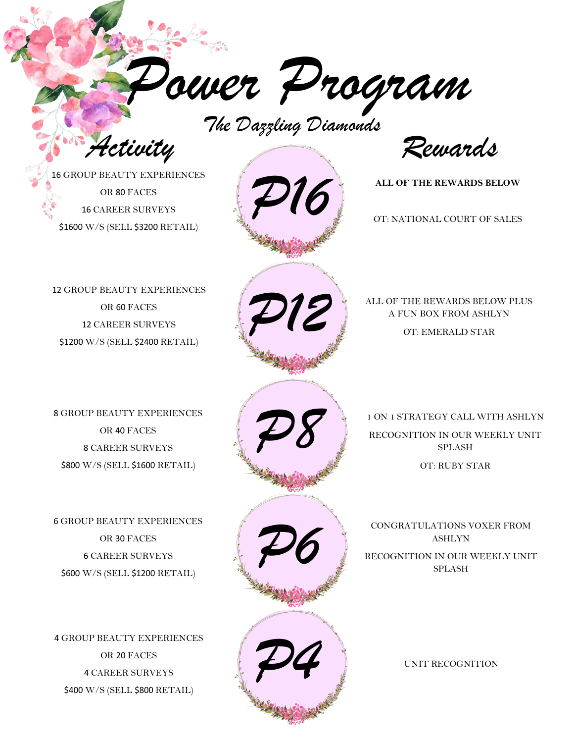*Power Program*

*The Dazzling Diamonds*

*Activity Rewards*

**ALL OF THE REWARDS BELOW**

OT: NATIONAL COURT OF SALES

16 GROUP BEAUTY EXPERIENCES OR 80 FACES 16 CAREER SURVEYS \$1600 W/S (SELL \$3200 RETAIL)

12 GROUP BEAUTY EXPERIENCES OR 60 FACES 12 CAREER SURVEYS \$1200 W/S (SELL \$2400 RETAIL)



ALL OF THE REWARDS BELOW PLUS A FUN BOX FROM ASHLYN

OT: EMERALD STAR

1 ON 1 STRATEGY CALL WITH ASHLYN RECOGNITION IN OUR WEEKLY UNIT SPLASH

8 GROUP BEAUTY EXPERIENCES OR 40 FACES 8 CAREER SURVEYS \$800 W/S (SELL \$1600 RETAIL)

6 GROUP BEAUTY EXPERIENCES OR 30 FACES 6 CAREER SURVEYS \$600 W/S (SELL \$1200 RETAIL)

4 GROUP BEAUTY EXPERIENCES OR 20 FACES 4 CAREER SURVEYS \$400 W/S (SELL \$800 RETAIL)





ASHLYN RECOGNITION IN OUR WEEKLY UNIT SPLASH

*P4*

UNIT RECOGNITION